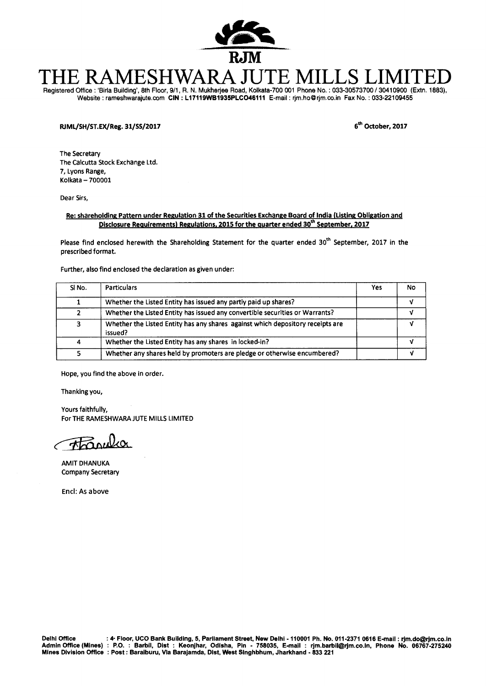

# THE RAMESHWARA JUTE MILLS LII

Registered Office : 'Birla Building', 8th Floor, 9/1, R. N. Mukherjee Road, Kolkata-700 001 Phone No. : 033-30573700 / 30410900 (Extn. 1883), Website : rameshwarajute.com **CIN : L17119WB1935PLC046111** E-mail : rjm.ho@rjm.co.inFax No. : 033-22109455

## RJML/SH/ST.EX/Reg. **31/55/2017 6th October, 2017**

The Secretary The Calcutta Stock Exchange Ltd. 7, Lyons Range, Kolkata — 700001

Dear Sirs,

#### **Re: shareholding Pattern under Regulation 31 of the Securities Exchange Board of India (Listing Obligation and Disclosure Requirements) Regulations, 2015 for the quarter ended 30<sup>th</sup> September, 2017**

Please find enclosed herewith the Shareholding Statement for the quarter ended 30<sup>th</sup> September, 2017 in the prescribed format.

Further, also find enclosed the declaration as given under:

| SINO. | <b>Particulars</b>                                                                        | Yes | No |
|-------|-------------------------------------------------------------------------------------------|-----|----|
|       | Whether the Listed Entity has issued any partly paid up shares?                           |     |    |
|       | Whether the Listed Entity has issued any convertible securities or Warrants?              |     |    |
| 3     | Whether the Listed Entity has any shares against which depository receipts are<br>issued? |     |    |
| 4     | Whether the Listed Entity has any shares in locked-in?                                    |     |    |
|       | Whether any shares held by promoters are pledge or otherwise encumbered?                  |     |    |

Hope, you find the above in order.

Thanking you,

Yours faithfully, For THE RAMESHWARA JUTE MILLS LIMITED

eciadsk.

Encl: As above

AMIT DHANUKA Company Secretary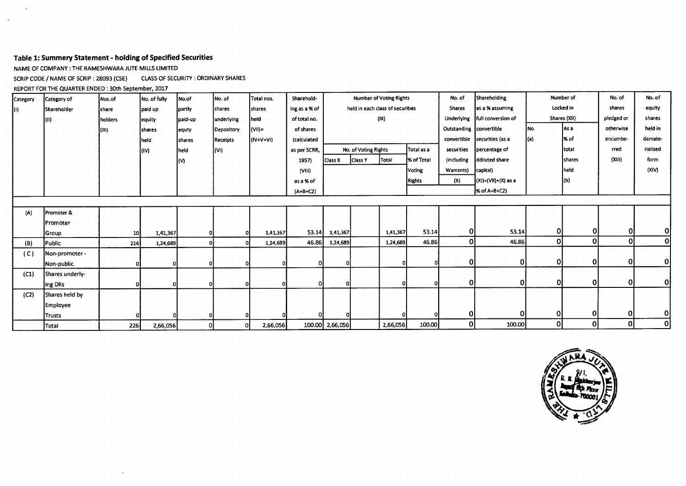### **Table 1: Summery Statement - holding of Specified Securities**

NAME OF COMPANY : THE RAMESHWARA JUTE MILLS LIMITED

SCRIP CODE / NAME OF SCRIP : 28093 (CSE) CLASS OF SECURITY : ORDINARY SHARES

 $\sim$ 

REPORT FOR THE QUARTER ENDED : 30th September, 2017

 $\sim$ 

 $\mathcal{A}$ 

| Category | Category of     | Nos.of          | No. of fully  | No.of          | No. of          | Total nos.     | Sharehold-    |                 |                      | <b>Number of Voting Rights</b>   |               | No. of                  | Shareholding        |           | Number of     | No. of       | No. of   |
|----------|-----------------|-----------------|---------------|----------------|-----------------|----------------|---------------|-----------------|----------------------|----------------------------------|---------------|-------------------------|---------------------|-----------|---------------|--------------|----------|
| KO).     | Shareholder     | <b>share</b>    | paid up       | partly         | shares          | shares         | ing as a % of |                 |                      | held in each class of securities |               | <b>Shares</b>           | as a % assuming     | Locked in |               | shares       | equity   |
|          | (II)            | holders         | equity        | paid-up        | underlying      | held           | of total no.  |                 |                      | (IX)                             |               | Underlying              | full conversion of  |           | Shares (XII)  | pledged or   | shares   |
|          |                 | (III)           | <b>Shares</b> | lequty         | Depository      | (VII)=         | of shares     |                 |                      |                                  |               | Outstanding convertible |                     | INo.      | as a          | otherwise    | held in  |
|          |                 |                 | heid.         | <b>Ishares</b> | <b>Receipts</b> | (IV+V+VI)      | (calculated   |                 |                      |                                  |               | convertible             | securities (as a    | (a)       | l% of         | encumbe-     | demate-  |
|          |                 |                 | (IV)          | held           | (WI)            |                | as per SCRR,  |                 | No. of Voting Rights |                                  | Total as a    | securities              | percentage of       |           | total         | rred         | rialised |
|          |                 |                 |               | l(V)           |                 |                | 1957)         | Class X         | Class Y              | Total                            | % of Total    | (including              | ddiluted share      |           | <b>shares</b> | (XIII)       | form     |
|          |                 |                 |               |                |                 |                | (VIII)        |                 |                      |                                  | Voting        | Warrants)               | capital)            |           | held          |              | (XIV)    |
|          |                 |                 |               |                |                 |                | as a % of     |                 |                      |                                  | <b>Rights</b> | (X)                     | (XI)=(VlI)+(X) as a |           | (b)           |              |          |
|          |                 |                 |               |                |                 |                | $(A+B+C2)$    |                 |                      |                                  |               |                         | % of A+B+C2)        |           |               |              |          |
|          |                 |                 |               |                |                 |                |               |                 |                      |                                  |               |                         |                     |           |               |              |          |
| (A)      | Promoter &      |                 |               |                |                 |                |               |                 |                      |                                  |               |                         |                     |           |               |              |          |
|          | Promoter        |                 |               |                |                 |                |               |                 |                      |                                  |               |                         |                     |           |               |              |          |
|          | Group           | 10 <sub>l</sub> | 1,41,367      |                |                 | 1,41,367       | 53.14         | 1,41,367        |                      | 1,41,367                         | 53.14         | 0l                      | 53.14               | 01        | 01            | $\mathbf 0$  | 0        |
| (B)      | Public          | 216             | 1,24,689      |                |                 | 1,24,689       | 46.86         | 1,24,689        |                      | 1,24,689                         | 46.86         | 0                       | 46.86               | οl        | 0             | $\mathbf{0}$ | 0        |
| (C)      | Non-promoter -  |                 |               |                |                 |                |               |                 |                      |                                  |               |                         |                     |           |               |              |          |
|          | Non-public      | o               | οI            |                |                 |                | οI            |                 |                      |                                  |               | 0                       | 0                   | 0         | 0             | -OI          | 0        |
| (C1)     | Shares underly- |                 |               |                |                 |                |               |                 |                      |                                  |               |                         |                     |           |               |              |          |
|          | ing DRs         |                 | οI            |                |                 |                | οI            |                 |                      | ΩI                               |               | 0                       | 0.                  | $\Omega$  | 0l            | -OI          | 0        |
| (C2)     | Shares held by  |                 |               |                |                 |                |               |                 |                      |                                  |               |                         |                     |           |               |              |          |
|          | <b>Employee</b> |                 |               |                |                 |                |               |                 |                      |                                  |               |                         |                     |           |               |              |          |
|          | <b>Trusts</b>   |                 |               |                |                 |                | ΩI            |                 |                      |                                  |               | 0l                      |                     | 0l        | 0             | 0            | Οl       |
|          | Total           | <b>226</b>      | 2,66,056      | o              |                 | 2,66,056<br>01 |               | 100.00 2,66,056 |                      | 2,66,056                         | 100.00        | 0                       | 100.00              | 0         | $\mathbf{0}$  | 0            | 0        |

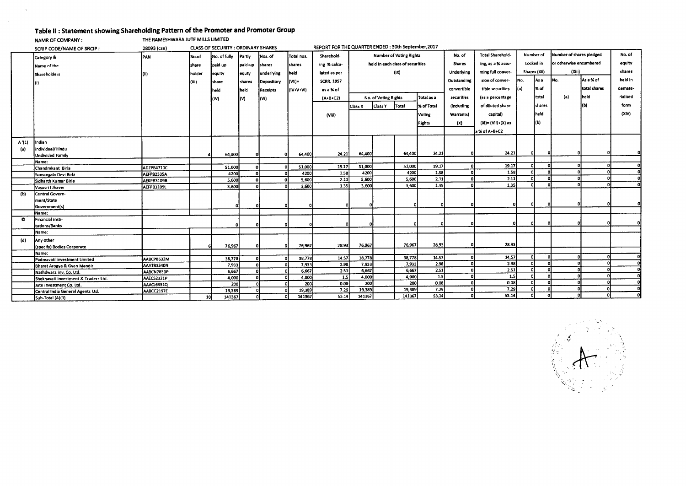## **Table II : Statement showing Shareholding Pattern of the Promoter and Promoter Group**

THE RAMESHWARA JUTE MILLS LIMITED NAMR OF COMPANY :

 $\sim$ 

 $\sim$ 

|           | SCRIP CODE/NAME OF SRCIP:                             | REPORT FOR THE QUARTER ENDED : 30th September, 2017<br>CLASS OF SECURITY : ORDINARY SHARES<br>28093 (cse) |                 |                |         |            |                 |                   |                                |                      |                                  |                   |                   |                         |              |           |                          |              |          |
|-----------|-------------------------------------------------------|-----------------------------------------------------------------------------------------------------------|-----------------|----------------|---------|------------|-----------------|-------------------|--------------------------------|----------------------|----------------------------------|-------------------|-------------------|-------------------------|--------------|-----------|--------------------------|--------------|----------|
|           | Category &                                            | <b>PAN</b>                                                                                                | No.of           | No. of fully   | Partly  | Nos. of    | Total nos.      | Sharehold-        | <b>Number of Voting Rights</b> |                      |                                  |                   | No.of             | <b>Total Sharehold-</b> |              | Number of | Number of shares pledged |              | No. of   |
|           | Name of the                                           |                                                                                                           | share           | paid up        | paid-up | shares     | shares          | ing % calcu-      |                                |                      | held in each class of securities |                   | <b>Shares</b>     | ing, as a % assu-       |              | Locked in | or otherwise encumbered  |              | equity   |
|           | <b>Shareholders</b>                                   |                                                                                                           | holder          | equity         | equty   | underlying | <b>Iheid</b>    | lated as per      |                                |                      | (IX)                             |                   | Underlying        | ming full conver-       | Shares (Xii) |           | (Xiii)                   |              | shares   |
|           |                                                       | (ii)                                                                                                      |                 |                |         |            |                 | <b>SCRR. 1957</b> |                                |                      |                                  |                   | Outstanding       | sion of conver-         | INo.         | l As a    | INo.                     | As a % of    | held in  |
|           |                                                       |                                                                                                           | l (iii)         | share          | shares  | Depository | (Vii)           |                   |                                |                      |                                  |                   |                   |                         |              |           |                          |              |          |
|           |                                                       |                                                                                                           |                 | held           | held    | Receipts   | (IV+V+Vi)       | as a % of         |                                |                      |                                  |                   | convertible       | tible securities        | l(a)         | l% of     |                          | total shares | demate-  |
|           |                                                       |                                                                                                           |                 | l'M            | l(V)    | (Wi        |                 | $(A+B+C2)$        |                                | No. of Voting Rights |                                  | Total as a        | securities        | (as a percentage        |              | total     | (a)                      | held         | rialised |
|           |                                                       |                                                                                                           |                 |                |         |            |                 |                   | Class X                        | <b>Class Y</b>       | Total                            | <b>X</b> of Total | <i>lincluding</i> | of diluted share        |              | shares    |                          | (b)          | form     |
|           |                                                       |                                                                                                           |                 |                |         |            |                 | (Viii)            |                                |                      |                                  | <b>Voting</b>     | Warrants)         | capital)                |              | iheid.    |                          |              | (XIV)    |
|           |                                                       |                                                                                                           |                 |                |         |            |                 |                   |                                |                      |                                  |                   |                   |                         |              |           |                          |              |          |
|           |                                                       |                                                                                                           |                 |                |         |            |                 |                   |                                |                      |                                  | <b>Rights</b>     | (X)               | (XI)= (VII)+(X) as      |              | (b)       |                          |              |          |
|           |                                                       |                                                                                                           |                 |                |         |            |                 |                   |                                |                      |                                  |                   |                   | a % of A+B+C2           |              |           |                          |              |          |
| A'(1)     | Indian                                                |                                                                                                           |                 |                |         |            |                 |                   |                                |                      |                                  |                   |                   |                         |              |           |                          |              |          |
| (a)       | individual/Hindu                                      |                                                                                                           |                 |                |         |            |                 |                   |                                |                      |                                  |                   |                   |                         |              |           |                          |              |          |
|           | Undivided Family                                      |                                                                                                           |                 | 64,400         |         | o          | 64,400          | 24.21             | 64,400                         |                      | 64,400                           | 24.21             | n.                | 24.21                   |              |           |                          |              |          |
|           | Name:                                                 |                                                                                                           |                 |                |         |            |                 |                   |                                |                      |                                  |                   |                   |                         |              |           |                          |              |          |
|           | Chandrakant Birla                                     | ADZPB4710C                                                                                                |                 | \$1,000        |         |            | 51,000          | 19.17             | \$1,000                        |                      | 51,000                           | 19.17             | n                 | 19.17                   |              |           |                          |              | ി        |
|           | Sumangala Devi Birla                                  | AEFPB2335A                                                                                                |                 | 4200           |         |            | 4200            | 1.58              | 4200                           |                      | 4200                             | 1.58              | n.                | 1.58                    |              |           |                          |              |          |
|           | Sidharth Kumar Birla                                  | AEKPB3109B                                                                                                |                 | 5,600          |         |            | 5,600           | $\overline{2.11}$ | 5,600                          |                      | 5,600                            | 2.11              | n                 | 2.11                    |              |           |                          |              |          |
|           | Vasusri i Jhaver                                      | <b>AEFPB3109L</b>                                                                                         |                 | 3,600          |         |            | 3,600           | 1.35              | 3,600                          |                      | 3,600                            | 1.35              |                   | 1.35                    |              |           |                          |              |          |
| (b)       | Central Govern-                                       |                                                                                                           |                 |                |         |            |                 |                   |                                |                      |                                  |                   |                   |                         |              |           |                          |              |          |
|           | ment/State                                            |                                                                                                           |                 |                |         |            |                 |                   |                                |                      |                                  |                   |                   | n                       |              |           |                          |              |          |
|           | Government(s)                                         |                                                                                                           |                 | o              |         |            |                 |                   |                                |                      |                                  |                   |                   |                         |              |           |                          |              |          |
|           | Name:                                                 |                                                                                                           |                 |                |         |            |                 |                   |                                |                      |                                  |                   |                   |                         |              |           |                          |              |          |
| $\bullet$ | Financial insti-                                      |                                                                                                           |                 | n              |         |            |                 |                   |                                |                      |                                  |                   |                   |                         |              |           |                          |              |          |
|           | tutions/Banks                                         |                                                                                                           |                 |                |         |            |                 |                   |                                |                      |                                  |                   |                   |                         |              |           |                          |              |          |
|           | Name:                                                 |                                                                                                           |                 |                |         |            |                 |                   |                                |                      |                                  |                   |                   |                         |              |           |                          |              |          |
| (d)       | Any other                                             |                                                                                                           |                 |                |         |            |                 |                   |                                |                      | 76,967                           | 28.93             |                   | 28.93                   |              |           |                          |              |          |
|           | (specify) Bodies Corporate                            |                                                                                                           |                 | 76,967         |         |            | 76,967          | 28.93             | 76,967                         |                      |                                  |                   |                   |                         |              |           |                          |              |          |
|           | Name:                                                 |                                                                                                           |                 |                |         |            |                 | 14.S7             | 38,778                         |                      | 38,778                           | 14.57             | n                 | 14.57                   |              |           |                          |              |          |
|           | Padmavati investment Limited                          | AABCP8632M                                                                                                |                 | 38,778         |         |            | 38,778<br>7,933 | 2.98              | 7,933                          |                      | 7,933                            | 2.98              | $\Omega$          | 2.98                    |              |           |                          |              | οl       |
|           | Bharat Arogya & Gyan Mandir                           | AAATB3540N                                                                                                |                 | 7,933          |         |            | 6,667           | 2.51              | 6,667                          |                      | 6,667                            | 2.51              | $\Omega$          | 2.51                    |              |           |                          |              | οl       |
|           | Nathdwara inv. Co. Ltd.                               | AABCN7830P                                                                                                |                 | 6,667<br>4,000 |         |            | 4,000           | 1.5               | 4.000                          |                      | 4,000                            | 1.5               | ി                 | 1.5                     |              |           |                          |              | 0.       |
|           | Shekhavati investment & Traders Ltd.                  | AAECS2321P                                                                                                |                 | 200            |         |            | 200             | 0.08              | 200                            |                      | 200                              | 0.08              | $\mathbf{r}$      | 0.08                    |              |           |                          |              |          |
|           | Jute investment Co. Ltd.                              | AAACJ6331Q<br>AABCC2197E                                                                                  |                 | 19,389         |         |            | 19,389          | 7.29              | 19,389                         |                      | 19,389                           | 7.29              | $\Omega$          | 7.29                    |              |           |                          |              | ol       |
|           | Central India General Agents Ltd.<br>Sub-Total (A)(1) |                                                                                                           | 10 <sup>1</sup> | 141367         |         |            | 141367          | 53.14             | 141367                         |                      | 141367                           | S3.14             | n                 | 53.14                   |              |           |                          |              | ol       |
|           |                                                       |                                                                                                           |                 |                |         |            |                 |                   |                                |                      |                                  |                   |                   |                         |              |           |                          |              |          |

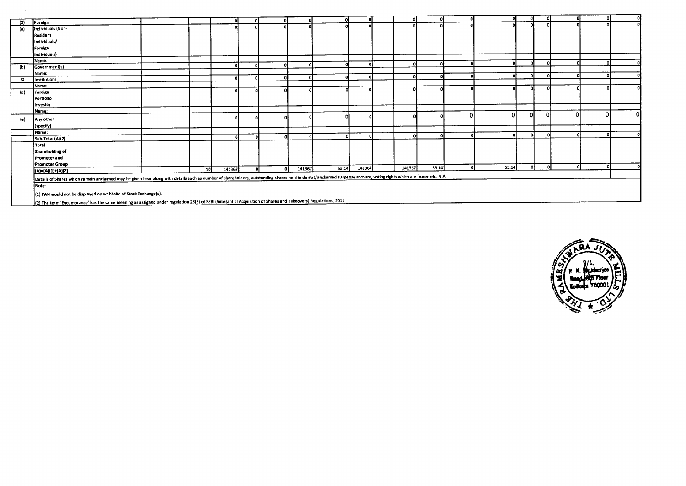|           |                                                                                                                                                                                                                     |    | ΩI     |  |        | o        |        |        |       | -0     |       |    |          |  |    |
|-----------|---------------------------------------------------------------------------------------------------------------------------------------------------------------------------------------------------------------------|----|--------|--|--------|----------|--------|--------|-------|--------|-------|----|----------|--|----|
| (2)       | Foreign                                                                                                                                                                                                             |    |        |  |        |          |        |        |       |        |       |    |          |  |    |
| (a)       | Individuals (Non-                                                                                                                                                                                                   |    |        |  |        |          |        |        |       |        |       |    |          |  |    |
|           | Resident                                                                                                                                                                                                            |    |        |  |        |          |        |        |       |        |       |    |          |  |    |
|           | Individuals/                                                                                                                                                                                                        |    |        |  |        |          |        |        |       |        |       |    |          |  |    |
|           | Foreign                                                                                                                                                                                                             |    |        |  |        |          |        |        |       |        |       |    |          |  |    |
|           | Individuals)                                                                                                                                                                                                        |    |        |  |        |          |        |        |       |        |       |    |          |  |    |
|           | Name:                                                                                                                                                                                                               |    |        |  |        | n.       |        |        |       |        |       |    |          |  |    |
| (b)       | Government(s)                                                                                                                                                                                                       |    |        |  |        |          |        |        |       |        |       |    |          |  |    |
|           | Name:                                                                                                                                                                                                               |    |        |  |        | -ni      |        |        |       |        | n     | £  | n        |  |    |
| $\bullet$ | Institutions                                                                                                                                                                                                        |    |        |  |        |          |        |        |       |        |       |    |          |  |    |
|           | Name:                                                                                                                                                                                                               |    |        |  |        |          |        |        |       |        |       |    |          |  |    |
| (d)       | Foreign                                                                                                                                                                                                             |    |        |  |        |          |        |        |       |        |       |    |          |  |    |
|           | Portfolio                                                                                                                                                                                                           |    |        |  |        |          |        |        |       |        |       |    |          |  |    |
|           | Investor                                                                                                                                                                                                            |    |        |  |        |          |        |        |       |        |       |    |          |  |    |
|           | Name:                                                                                                                                                                                                               |    |        |  |        |          |        |        |       |        | 0     | 0l | $\Omega$ |  | οI |
| (e)       | Any other                                                                                                                                                                                                           |    |        |  |        |          |        |        |       | C      |       |    |          |  |    |
|           | (specify)                                                                                                                                                                                                           |    |        |  |        |          |        |        |       |        |       |    |          |  |    |
|           | <b>IName:</b>                                                                                                                                                                                                       |    |        |  |        |          |        |        |       |        |       |    |          |  |    |
|           | Sub-Total (A)(2)                                                                                                                                                                                                    |    |        |  |        | $\Omega$ |        |        |       |        |       |    |          |  |    |
|           | Total                                                                                                                                                                                                               |    |        |  |        |          |        |        |       |        |       |    |          |  |    |
|           | Shareholding of                                                                                                                                                                                                     |    |        |  |        |          |        |        |       |        |       |    |          |  |    |
|           | Promoter and                                                                                                                                                                                                        |    |        |  |        |          |        |        |       |        |       |    |          |  |    |
|           | <b>Promoter Group</b>                                                                                                                                                                                               |    |        |  |        |          |        |        |       |        |       |    |          |  |    |
|           | (A)=(A)(1)+(A)(2)                                                                                                                                                                                                   | 10 | 141367 |  | 141367 | 53.14    | 141367 | 141367 | 53.14 | $\sim$ | 53.14 |    |          |  |    |
|           | Details of Shares which remain unclaimed may be given hear along with details such as number of shareholders, outstanding shares held in demat/unclaimed suspense account, voting rights which are frozen etc. N.A. |    |        |  |        |          |        |        |       |        |       |    |          |  |    |
|           |                                                                                                                                                                                                                     |    |        |  |        |          |        |        |       |        |       |    |          |  |    |
|           | Note:                                                                                                                                                                                                               |    |        |  |        |          |        |        |       |        |       |    |          |  |    |
|           | (1) PAN would not be displayed on webhsite of Stock Exchange(s).                                                                                                                                                    |    |        |  |        |          |        |        |       |        |       |    |          |  |    |
|           | (2) The term 'Encumbrance' has the same meaning as assigned under regulation 28(3) of SEBI (Substantial Acquisition of Shares and Takeovers) Regulations, 2011.                                                     |    |        |  |        |          |        |        |       |        |       |    |          |  |    |

 $\sim$ 

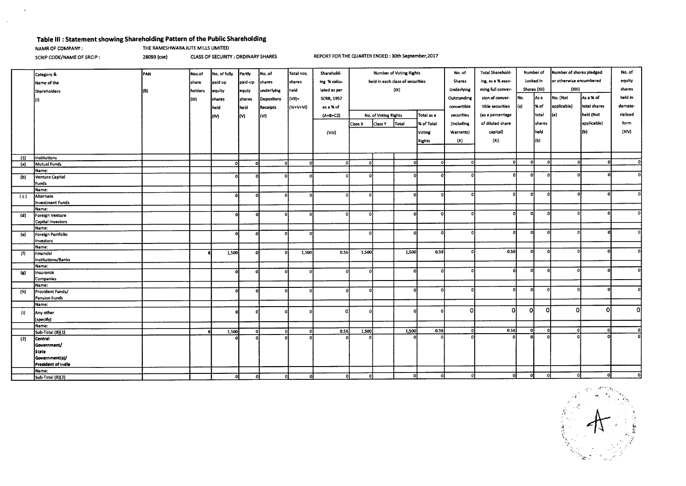#### **Table Ill : Statement showing Shareholding Pattern of the Public Shareholding**

## **NAMR OF COMPANY : THE RAMESHWARA JUTE MILLS LIMITED**

 $\sim$ 

 $\sim$ 

SCRIP CODE/NAME OF SRCIP : 28093 (cse) CLASS OF SECURITY : ORDINARY SHARES REPORT FOR THE QUARTER ENDED : 30th September,2017

|                |                                | PAN | Nos.of  | No. of fully | Partly        | No. of     | Total nos. | Sharehold-        | <b>Number of Voting Rights</b>   |                      | <b>Total Sharehold-</b><br>No. of |               | Number of         |                   | Number of shares pledged |                         | No. of      |              |              |
|----------------|--------------------------------|-----|---------|--------------|---------------|------------|------------|-------------------|----------------------------------|----------------------|-----------------------------------|---------------|-------------------|-------------------|--------------------------|-------------------------|-------------|--------------|--------------|
|                | Category &                     |     |         |              |               |            |            |                   |                                  |                      |                                   |               |                   | Locked in         |                          | or otherwise encumbered |             | equity       |              |
|                | Name of the                    |     | share   | paid up      | paid-up       | shares     | shares     | ing % calcu-      | held in each class of securities |                      |                                   | <b>Shares</b> | ing, as a % assu- |                   |                          |                         |             |              |              |
|                | Shareholders                   |     | holders | equity       | leguty        | underlying | held       | lated as per      |                                  |                      | (X)                               |               | Underlying        | ming full conver- | Shares (Xii)             |                         | (XIII)      |              | shares       |
|                |                                |     | (iii)   | shares       | shares        | Depository | (Vil)=     | <b>SCRR, 1957</b> |                                  |                      |                                   |               | Outstanding       | sion of conver-   | No.                      | As a                    | No. (Not    | As a % of    | held in      |
|                |                                |     |         | held         | <b>I</b> held | Receipts   | (IV+V+Vi)  | as a % of         |                                  |                      |                                   |               | convertible       | tible securities  | l(a)                     | % of                    | applicable) | totai shares | demate-      |
|                |                                |     |         |              |               |            |            |                   |                                  |                      |                                   |               |                   |                   |                          |                         |             |              |              |
|                |                                |     |         | m            | lM.           | (VI)       |            | (A+B+C2)          |                                  | No. of Voting Rights |                                   | Total as a    | securities        | (as a percentage  |                          | total                   | (a)         | held (Not    | rialised     |
|                |                                |     |         |              |               |            |            |                   | Class X                          | <b>Class Y</b>       | Total                             | % of Total    | (including        | of diluted share  |                          | shares                  |             | applicable)  | form         |
|                |                                |     |         |              |               |            |            | (Viii)            |                                  |                      |                                   | Voting        | Warrants)         | capital)          |                          | held                    |             | (b)          | (XIV)        |
|                |                                |     |         |              |               |            |            |                   |                                  |                      |                                   | <b>Rights</b> | (X)               | (X <sub>i</sub> ) |                          | (b)                     |             |              |              |
|                |                                |     |         |              |               |            |            |                   |                                  |                      |                                   |               |                   |                   |                          |                         |             |              |              |
|                |                                |     |         |              |               |            |            |                   |                                  |                      |                                   |               |                   |                   |                          |                         |             |              |              |
| (1)            | Institutions                   |     |         |              |               |            |            |                   |                                  |                      |                                   |               |                   |                   |                          |                         |             |              |              |
| (a)            | Mutual Funds                   |     |         | οI           | -ol           | -ol        | 0.         | οI                | $\Omega$                         |                      | n.                                |               |                   | n                 | o                        | n                       |             |              | Ωl           |
|                | Name:                          |     |         |              |               |            |            |                   |                                  |                      |                                   |               |                   |                   |                          |                         |             |              |              |
| (b)            | Venture Capital                |     |         | $\Omega$     | o             | $\Omega$   |            | ΩI                |                                  |                      |                                   |               |                   |                   | o                        |                         |             |              |              |
|                | Funds                          |     |         |              |               |            |            |                   |                                  |                      |                                   |               |                   |                   |                          |                         |             |              |              |
|                | Name:                          |     |         |              |               |            |            | $\Omega$          |                                  |                      | $\Omega$                          |               |                   | n                 | 0                        | o                       |             |              |              |
| (c)            | Alternate                      |     |         | οl           | o             | οl         |            |                   |                                  |                      |                                   |               |                   |                   |                          |                         |             |              |              |
|                | Investment Funds               |     |         |              |               |            |            |                   |                                  |                      |                                   |               |                   |                   |                          |                         |             |              |              |
|                | Name:                          |     |         | $\Omega$     | $\Omega$      | $\Omega$   |            | nl                |                                  |                      | $\Omega$                          |               |                   | n                 | 0                        |                         |             |              | ΩI           |
| (d)            | Foreign Venture                |     |         |              |               |            |            |                   |                                  |                      |                                   |               |                   |                   |                          |                         |             |              |              |
|                | Capital Investors              |     |         |              |               |            |            |                   |                                  |                      |                                   |               |                   |                   |                          |                         |             |              |              |
|                | Name:                          |     |         | $\Omega$     | -0            | $\Omega$   |            |                   |                                  |                      | $\Omega$                          |               |                   |                   | ol                       | $\Omega$                |             |              |              |
| $\overline{e}$ | Foreign Portfolio<br>Investors |     |         |              |               |            |            |                   |                                  |                      |                                   |               |                   |                   |                          |                         |             |              |              |
|                | Name:                          |     |         |              |               |            |            |                   |                                  |                      |                                   |               |                   |                   |                          |                         |             |              |              |
| (f)            | Financial                      |     |         | 1,500        | οl            | $\Omega$   | 1,500      | 0.56              | 1,500                            |                      | 1,500                             | 0.56          |                   | 0.56              | D.                       | $\Omega$                |             |              | οl           |
|                | Institutions/Banks             |     |         |              |               |            |            |                   |                                  |                      |                                   |               |                   |                   |                          |                         |             |              |              |
|                | Name:                          |     |         |              |               |            |            |                   |                                  |                      |                                   |               |                   |                   |                          |                         |             |              |              |
| (g)            | insurance                      |     |         | ി            | -ol           | ച          |            | n١                |                                  |                      | $\Omega$                          |               |                   |                   | o                        | $\mathbf{0}$            |             |              | ۵I           |
|                | Companies                      |     |         |              |               |            |            |                   |                                  |                      |                                   |               |                   |                   |                          |                         |             |              |              |
|                | Name:                          |     |         |              |               |            |            |                   |                                  |                      |                                   |               |                   |                   |                          |                         |             |              |              |
| (h)            | Provident Funds/               |     |         |              | ۵l            | ۵I         |            | ۵Ι                |                                  |                      | $\Omega$                          |               |                   |                   |                          |                         |             |              | പ            |
|                | Pension Funds                  |     |         |              |               |            |            |                   |                                  |                      |                                   |               |                   |                   |                          |                         |             |              |              |
|                | Name:                          |     |         |              |               |            |            |                   |                                  |                      |                                   |               |                   |                   |                          |                         |             |              |              |
| (i)            | Any other                      |     |         |              | $\Omega$      |            |            | n                 |                                  |                      |                                   |               |                   | Λ                 | ΩI                       | ΩΙ                      | $\Omega$    | -O           | οI           |
|                | (specify)                      |     |         |              |               |            |            |                   |                                  |                      |                                   |               |                   |                   |                          |                         |             |              |              |
|                | Name:                          |     |         |              |               |            |            |                   |                                  |                      |                                   |               |                   |                   |                          |                         |             |              |              |
|                | Sub-Total (B)(1)               |     |         | 1,500        | οl            | o          | <b>D</b>   | 0.56              | 1,500                            |                      | 1,500                             | 0.56          | $\Omega$          | 0.56              | $\Omega$                 | o                       | -o l        |              | $\Omega$     |
| (2)            | Central                        |     |         |              |               |            |            |                   |                                  |                      |                                   |               |                   |                   | $\Omega$                 |                         |             |              | $\mathbf{0}$ |
|                | Government/                    |     |         |              |               |            |            |                   |                                  |                      |                                   |               |                   |                   |                          |                         |             |              |              |
|                | <b>State</b>                   |     |         |              |               |            |            |                   |                                  |                      |                                   |               |                   |                   |                          |                         |             |              |              |
|                | Government(s)/                 |     |         |              |               |            |            |                   |                                  |                      |                                   |               |                   |                   |                          |                         |             |              |              |
|                | President of India             |     |         |              |               |            |            |                   |                                  |                      |                                   |               |                   |                   |                          |                         |             |              |              |
|                | Name:                          |     |         |              |               |            |            |                   |                                  |                      |                                   |               |                   |                   |                          |                         |             |              |              |
|                | Sub-Total (B)(2)               |     |         | οI           | οI            | οI         | οl         | οI                |                                  |                      |                                   |               |                   | n                 | $\Omega$                 |                         |             |              |              |

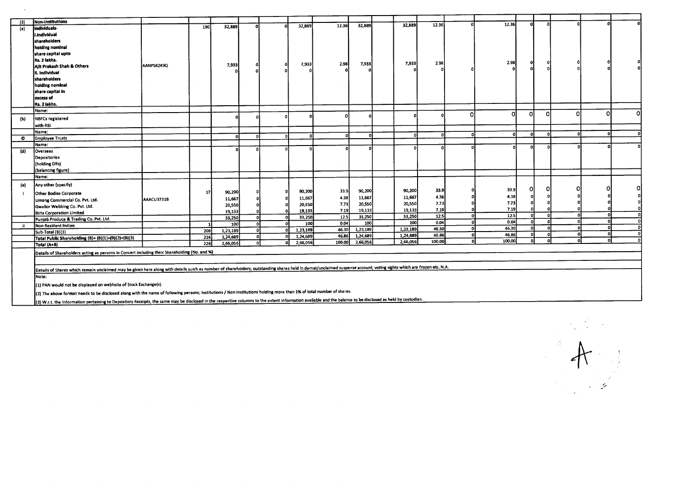| (3) | Non-institutions                                                                                                                                                                                                     |            |     |          |   |   |                      | 12.36                                                                                       | 32,889        |  | 32,889           | 12.36  |              | 12.36  |     | n        |          |   |
|-----|----------------------------------------------------------------------------------------------------------------------------------------------------------------------------------------------------------------------|------------|-----|----------|---|---|----------------------|---------------------------------------------------------------------------------------------|---------------|--|------------------|--------|--------------|--------|-----|----------|----------|---|
| (a) | Individuals-                                                                                                                                                                                                         |            | 190 | 32,889   |   |   | 32,889               |                                                                                             |               |  |                  |        |              |        |     |          |          |   |
|     | i.Individual                                                                                                                                                                                                         |            |     |          |   |   |                      |                                                                                             |               |  |                  |        |              |        |     |          |          |   |
|     | shareholders                                                                                                                                                                                                         |            |     |          |   |   |                      |                                                                                             |               |  |                  |        |              |        |     |          |          |   |
|     | holding nominal                                                                                                                                                                                                      |            |     |          |   |   |                      |                                                                                             |               |  |                  |        |              |        |     |          |          |   |
|     | share capital upto                                                                                                                                                                                                   |            |     |          |   |   |                      |                                                                                             |               |  |                  |        |              |        |     |          |          |   |
|     | Rs. 2 lakhs.                                                                                                                                                                                                         |            |     |          |   |   | 7,933                | 2.98                                                                                        | 7,933         |  | 7,933            | 2.98   |              | 2.98   |     |          |          |   |
|     | Alit Prakash Shah & Others                                                                                                                                                                                           | AANPS8249Q |     | 7,933    |   |   |                      |                                                                                             |               |  |                  |        |              |        |     |          |          |   |
|     | ii. Individual                                                                                                                                                                                                       |            |     |          |   |   |                      |                                                                                             |               |  |                  |        |              |        |     |          |          |   |
|     | shareholders                                                                                                                                                                                                         |            |     |          |   |   |                      |                                                                                             |               |  |                  |        |              |        |     |          |          |   |
|     | holding nominal                                                                                                                                                                                                      |            |     |          |   |   |                      |                                                                                             |               |  |                  |        |              |        |     |          |          |   |
|     | share capital in                                                                                                                                                                                                     |            |     |          |   |   |                      |                                                                                             |               |  |                  |        |              |        |     |          |          |   |
|     | excess of                                                                                                                                                                                                            |            |     |          |   |   |                      |                                                                                             |               |  |                  |        |              |        |     |          |          |   |
|     | Rs. 2 iakhs.                                                                                                                                                                                                         |            |     |          |   |   |                      |                                                                                             |               |  |                  |        |              |        |     |          |          |   |
|     | Name:                                                                                                                                                                                                                |            |     |          |   |   |                      |                                                                                             |               |  |                  |        | n            | ΩI     | Ω   |          | $\Omega$ | n |
| (b) | <b>NBFCs registered</b>                                                                                                                                                                                              |            |     |          |   |   |                      |                                                                                             |               |  |                  |        |              |        |     |          |          |   |
|     | with RBI                                                                                                                                                                                                             |            |     |          |   |   |                      |                                                                                             |               |  |                  |        |              |        |     |          |          |   |
|     | Name:                                                                                                                                                                                                                |            |     | n        | n |   | $\Omega$             |                                                                                             | n             |  |                  |        |              | ΩI     |     |          |          |   |
| O   | <b>Employee Trusts</b>                                                                                                                                                                                               |            |     |          |   |   |                      |                                                                                             |               |  |                  |        |              |        |     |          |          |   |
|     | Name:                                                                                                                                                                                                                |            |     |          |   |   |                      |                                                                                             |               |  |                  |        |              |        |     |          |          |   |
| (d) | Overseas                                                                                                                                                                                                             |            |     |          |   |   |                      |                                                                                             |               |  |                  |        |              |        |     |          |          |   |
|     | Depositories                                                                                                                                                                                                         |            |     |          |   |   |                      |                                                                                             |               |  |                  |        |              |        |     |          |          |   |
|     | (holding DRs)                                                                                                                                                                                                        |            |     |          |   |   |                      |                                                                                             |               |  |                  |        |              |        |     |          |          |   |
|     | (balancing figure)                                                                                                                                                                                                   |            |     |          |   |   |                      |                                                                                             |               |  |                  |        |              |        |     |          |          |   |
|     | Name:                                                                                                                                                                                                                |            |     |          |   |   |                      |                                                                                             |               |  |                  |        |              |        |     |          |          |   |
| (e) | Any other (specify)                                                                                                                                                                                                  |            |     |          |   |   |                      |                                                                                             |               |  |                  | 33.9   |              | 33.9   | n   |          |          |   |
|     | Other Bodies Corporate                                                                                                                                                                                               |            | 17  | 90,200   |   |   | 90,200               | 33.9                                                                                        | 90,200        |  | 90,200           | 4.38   |              | 4.38   |     |          |          |   |
|     | Umang Commercial Co. Pvt. Ltd.                                                                                                                                                                                       | AAACU3731B |     | 11,667   |   |   | 11,667               | 4.38                                                                                        | 11,667        |  | 11,667           | 7.73   |              | 7.73   |     |          |          |   |
|     | Gwalior Webbing Co. Pvt. Ltd.                                                                                                                                                                                        |            |     | 20,550   |   |   | 20,550               | 7.73                                                                                        | 20,550        |  | 20,550           | 7.19   |              | 7.19   |     |          |          |   |
|     | <b>Birla Corporation Limited</b>                                                                                                                                                                                     |            |     | 19,133   |   |   | 19,133               | 7.19                                                                                        | 19,133        |  | 19,133<br>33,250 | 12.5   | $\Omega$     | 12.5   | n   |          |          |   |
|     | Punjab Produce & Trading Co. Pvt. Ltd.                                                                                                                                                                               |            |     | 33,250   |   |   | 33,250               | 12.5                                                                                        | 33,250<br>100 |  | 100              | 0.04   | $\Omega$     | 0.04   | ΩI  |          |          |   |
| ii. | Non Resident Indian                                                                                                                                                                                                  |            |     | 100      |   |   | 100                  | 0.04<br>46.30                                                                               | 1,23,189      |  | 1,23,189         | 46.30  | n            | 46.30  | nl  | c        |          |   |
|     | Sub-Total (B)(3)                                                                                                                                                                                                     |            | 208 | 1,23,189 |   |   | 1,23,189             | 46.86                                                                                       | 1,24,689      |  | 1,24,689         | 46.86  | $\mathbf{0}$ | 46.86  | n   |          | n        |   |
|     | Total Public Shareholding (B)= (B)(1)+(B)(2)+(B)(3)                                                                                                                                                                  |            | 216 | 1,24,689 |   | Λ | 1,24,689<br>2,66,056 | 100.00                                                                                      | 2,66,056      |  | 2,66,056         | 100.00 | $\Omega$     | 100.00 | .oI | $\Omega$ |          |   |
|     | Total (A+B)                                                                                                                                                                                                          |            | 226 | 2,66,056 |   |   |                      |                                                                                             |               |  |                  |        |              |        |     |          |          |   |
|     | Details of Shareholders acting as persons in Concert including their Shareholding (No. and %)                                                                                                                        |            |     |          |   |   |                      |                                                                                             |               |  |                  |        |              |        |     |          |          |   |
|     |                                                                                                                                                                                                                      |            |     |          |   |   |                      |                                                                                             |               |  |                  |        |              |        |     |          |          |   |
|     | Details of Shares which remain unclaimed may be given here along with details suich as number of shareholders, outstanding shares held in demat/unclaimed suspense account, voting rights which are frozen etc. N.A. |            |     |          |   |   |                      |                                                                                             |               |  |                  |        |              |        |     |          |          |   |
|     | Note:                                                                                                                                                                                                                |            |     |          |   |   |                      |                                                                                             |               |  |                  |        |              |        |     |          |          |   |
|     | (1) PAN would not be displayed on webhsite of Stock Exchange(s).                                                                                                                                                     |            |     |          |   |   |                      |                                                                                             |               |  |                  |        |              |        |     |          |          |   |
|     | (2) The above format needs to be disclosed along with the name of following persons; Institutions / Non Institutions holding more than 1% of total number of shares.                                                 |            |     |          |   |   |                      | to the contract of the contract of the development of an individual last contract detection |               |  |                  |        |              |        |     |          |          |   |

(3) W.r.t. the information pertaining to Depository Receipts, the same may be disclosed in the respective columns to the extent information available and the balance to be disclosed as held by custodia

 $\sim$   $\sim$